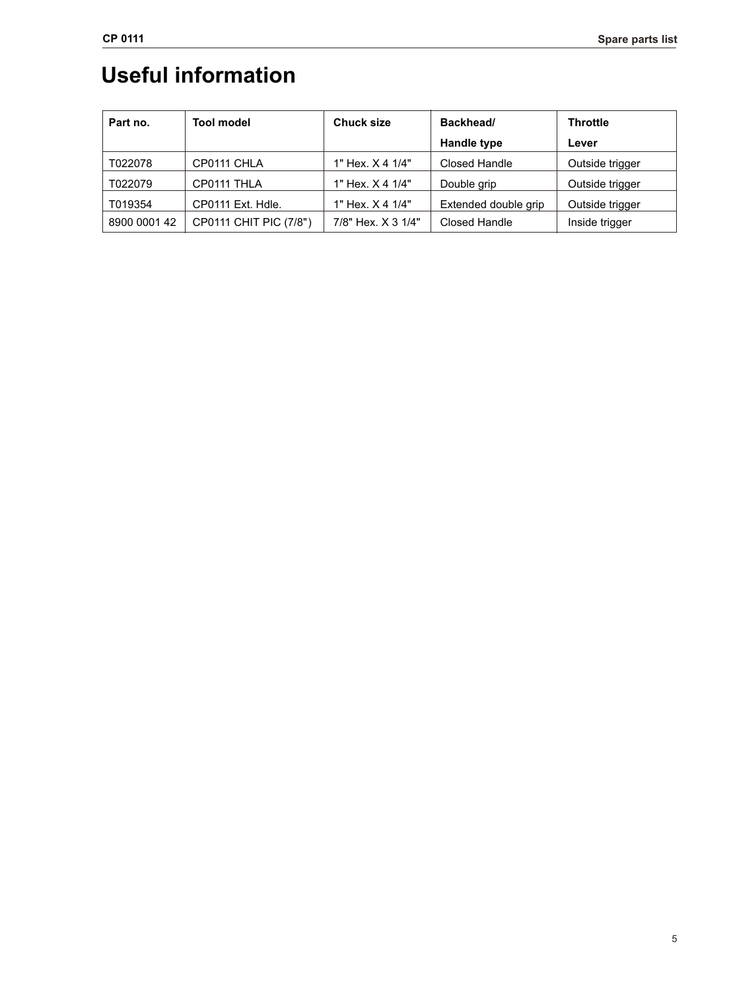## **Useful information**

| Part no.     | <b>Tool model</b>      | <b>Chuck size</b>  | Backhead/            | <b>Throttle</b> |
|--------------|------------------------|--------------------|----------------------|-----------------|
|              |                        |                    | <b>Handle type</b>   | Lever           |
| T022078      | CP0111 CHLA            | 1" Hex. X 4 1/4"   | Closed Handle        | Outside trigger |
| T022079      | CP0111 THLA            | 1" Hex. X 4 1/4"   | Double grip          | Outside trigger |
| T019354      | CP0111 Ext. Hdle.      | 1" Hex. X 4 1/4"   | Extended double grip | Outside trigger |
| 8900 0001 42 | CP0111 CHIT PIC (7/8") | 7/8" Hex. X 3 1/4" | Closed Handle        | Inside trigger  |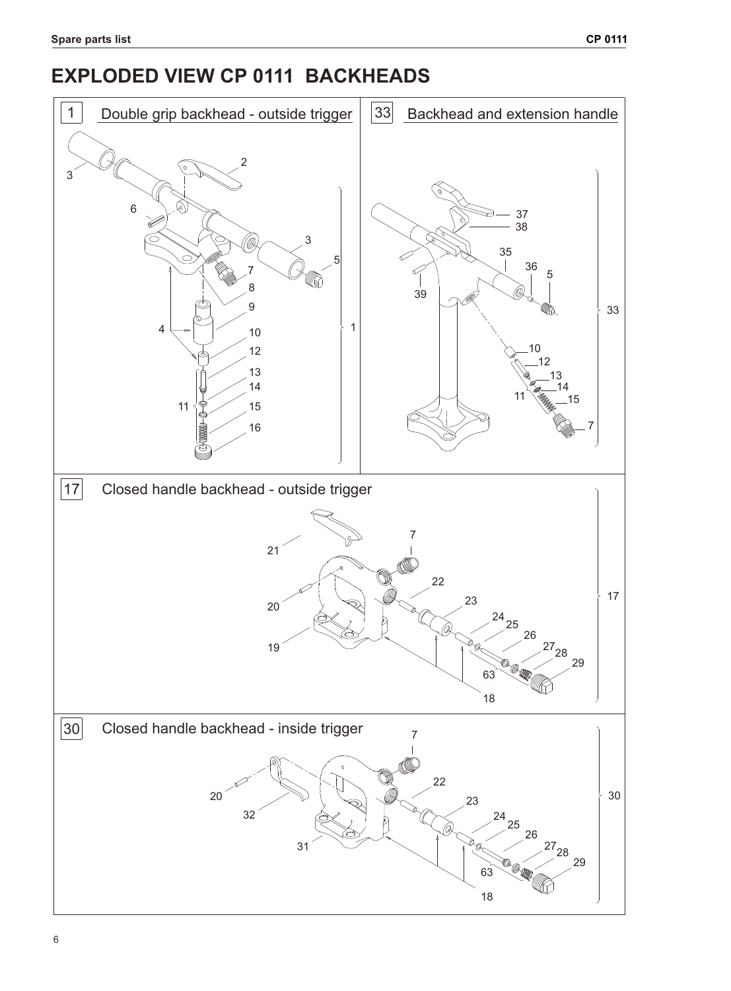## **EXPLODED VIEW CP 0111 BACKHEADS**

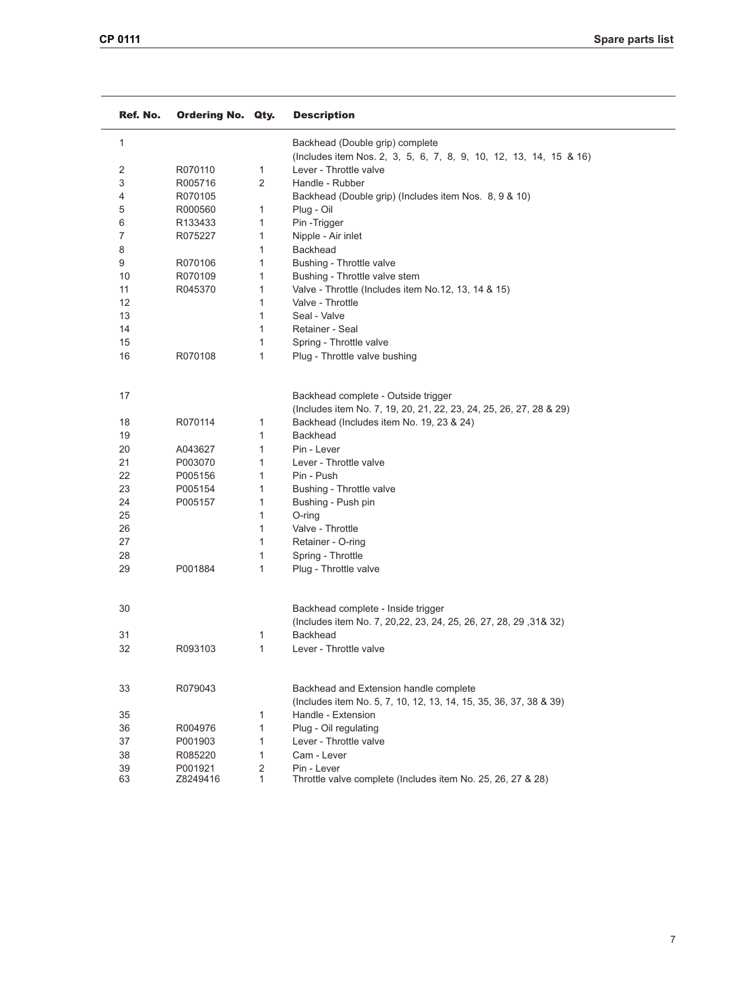| Ref. No. | <b>Ordering No. Qty.</b> |                | <b>Description</b>                                                 |  |
|----------|--------------------------|----------------|--------------------------------------------------------------------|--|
| 1        |                          |                | Backhead (Double grip) complete                                    |  |
|          |                          |                | (Includes item Nos. 2, 3, 5, 6, 7, 8, 9, 10, 12, 13, 14, 15 & 16)  |  |
| 2        | R070110                  | 1              | Lever - Throttle valve                                             |  |
| 3        | R005716                  | $\overline{2}$ | Handle - Rubber                                                    |  |
| 4        | R070105                  |                | Backhead (Double grip) (Includes item Nos. 8, 9 & 10)              |  |
| 5        | R000560                  | 1              | Plug - Oil                                                         |  |
| 6        | R133433                  | $\mathbf{1}$   | Pin-Trigger                                                        |  |
| 7        | R075227                  | 1              | Nipple - Air inlet                                                 |  |
| 8        |                          | 1              | <b>Backhead</b>                                                    |  |
| 9        | R070106                  | 1              | Bushing - Throttle valve                                           |  |
| 10       | R070109                  | 1              | Bushing - Throttle valve stem                                      |  |
| 11       | R045370                  | 1              | Valve - Throttle (Includes item No.12, 13, 14 & 15)                |  |
| 12       |                          | 1              | Valve - Throttle                                                   |  |
| 13       |                          | $\mathbf{1}$   | Seal - Valve                                                       |  |
| 14       |                          | 1              | Retainer - Seal                                                    |  |
| 15       |                          | 1              | Spring - Throttle valve                                            |  |
| 16       | R070108                  | $\mathbf{1}$   | Plug - Throttle valve bushing                                      |  |
| 17       |                          |                | Backhead complete - Outside trigger                                |  |
|          |                          |                | (Includes item No. 7, 19, 20, 21, 22, 23, 24, 25, 26, 27, 28 & 29) |  |
| 18       | R070114                  | 1              | Backhead (Includes item No. 19, 23 & 24)                           |  |
| 19       |                          | $\mathbf{1}$   | <b>Backhead</b>                                                    |  |
| 20       | A043627                  | 1              | Pin - Lever                                                        |  |
| 21       | P003070                  | 1              | Lever - Throttle valve                                             |  |
| 22       | P005156                  | 1              | Pin - Push                                                         |  |
| 23       | P005154                  | 1              | Bushing - Throttle valve                                           |  |
| 24       | P005157                  | 1              | Bushing - Push pin                                                 |  |
| 25       |                          | 1              | O-ring                                                             |  |
| 26       |                          | 1              | Valve - Throttle                                                   |  |
| 27       |                          | 1              | Retainer - O-ring                                                  |  |
| 28       |                          | 1              | Spring - Throttle                                                  |  |
| 29       | P001884                  | $\mathbf{1}$   | Plug - Throttle valve                                              |  |
| 30       |                          |                | Backhead complete - Inside trigger                                 |  |
|          |                          |                | (Includes item No. 7, 20,22, 23, 24, 25, 26, 27, 28, 29, 31& 32)   |  |
| 31       |                          | 1              | <b>Backhead</b>                                                    |  |
| 32       | R093103                  | 1              | Lever - Throttle valve                                             |  |
| 33       | R079043                  |                | Backhead and Extension handle complete                             |  |
|          |                          |                | (Includes item No. 5, 7, 10, 12, 13, 14, 15, 35, 36, 37, 38 & 39)  |  |
| 35       |                          | 1              | Handle - Extension                                                 |  |
| 36       | R004976                  | $\mathbf{1}$   | Plug - Oil regulating                                              |  |
| 37       | P001903                  | 1              | Lever - Throttle valve                                             |  |
| 38       | R085220                  | $\mathbf{1}$   | Cam - Lever                                                        |  |
| 39       | P001921                  | $\overline{2}$ | Pin - Lever                                                        |  |
| 63       | Z8249416                 | 1              | Throttle valve complete (Includes item No. 25, 26, 27 & 28)        |  |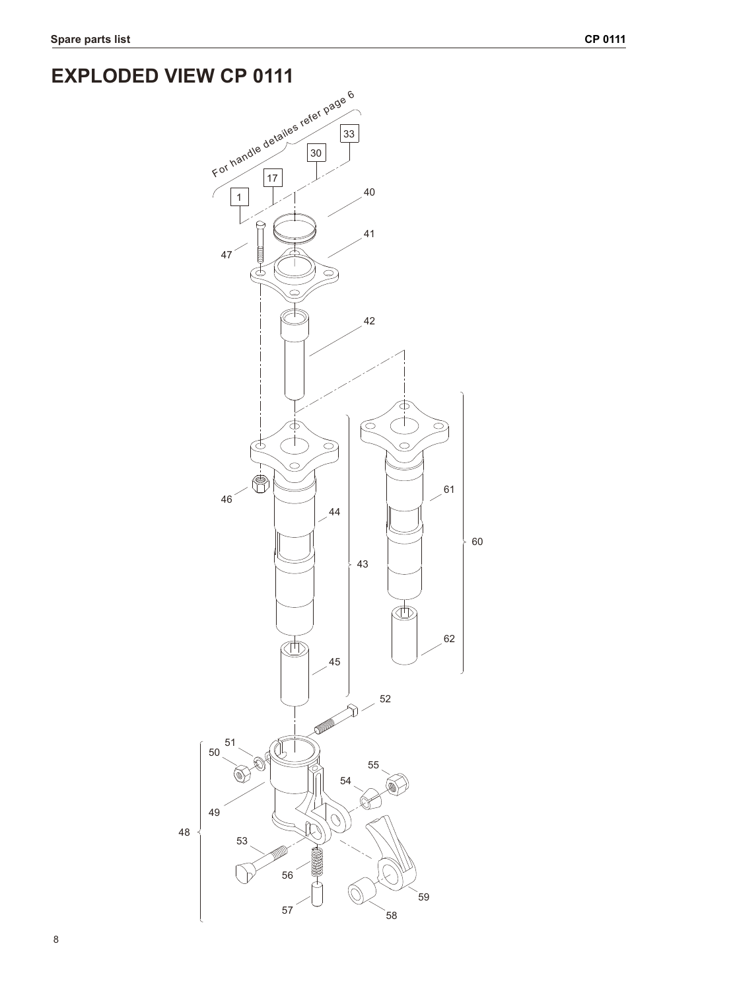## **EXPLODED VIEW CP 0111**